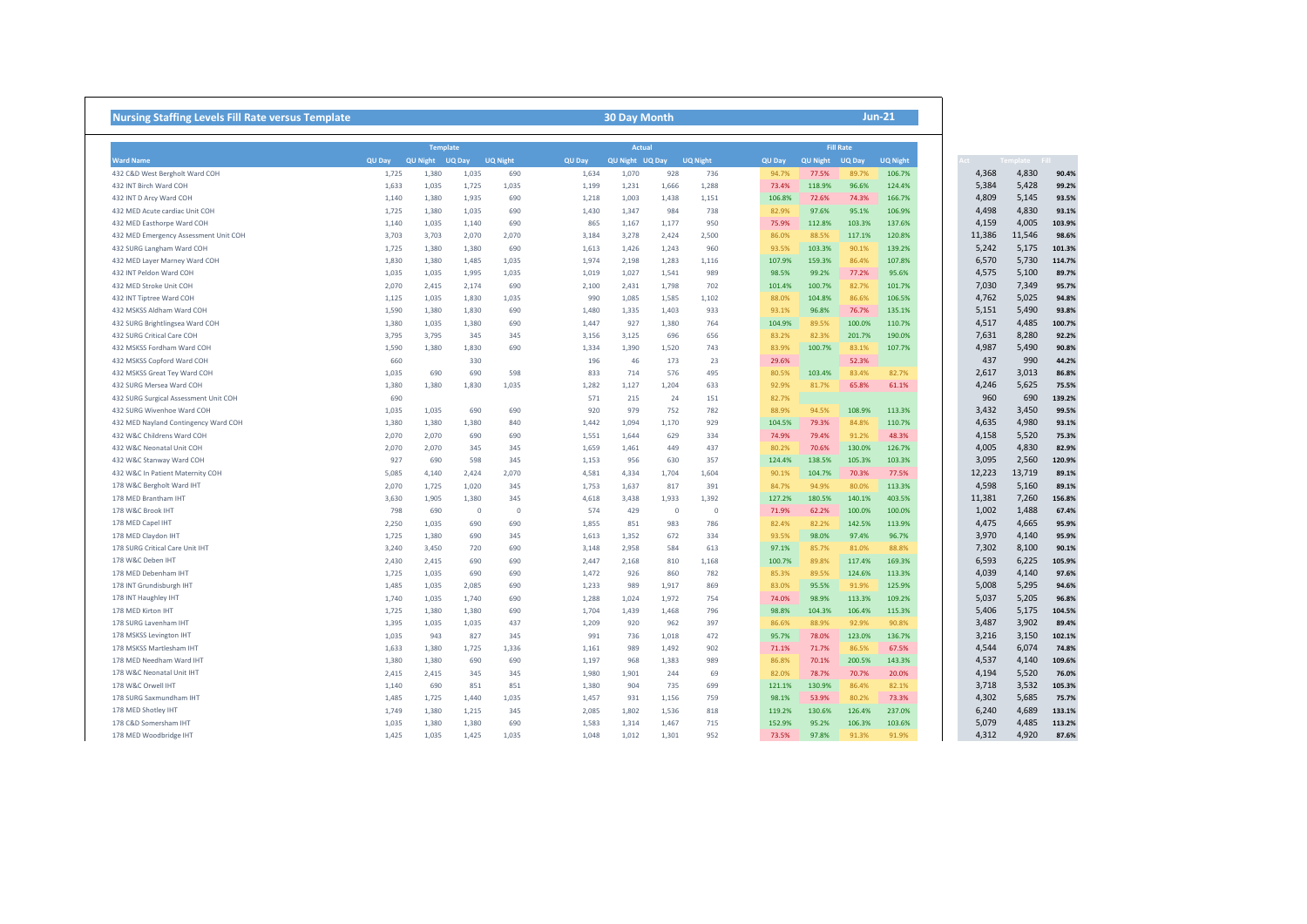| <b>Nursing Staffing Levels Fill Rate versus Template</b>                                      |                 | <b>Jun-21</b><br><b>30 Day Month</b> |                |            |                |                 |                |                 |                  |                  |                  |                  |  |                |                         |
|-----------------------------------------------------------------------------------------------|-----------------|--------------------------------------|----------------|------------|----------------|-----------------|----------------|-----------------|------------------|------------------|------------------|------------------|--|----------------|-------------------------|
| <b>Ward Name</b>                                                                              | <b>Template</b> |                                      |                |            |                | <b>Actual</b>   |                |                 |                  | <b>Fill Rate</b> |                  |                  |  |                |                         |
|                                                                                               | QU Day          | QU Night UQ Day UQ Night             |                |            | QU Day         | QU Night UQ Day |                | <b>UQ Night</b> | QU Day           | QU Night         | UQ Day           | <b>UQ Night</b>  |  |                |                         |
| 432 C&D West Bergholt Ward COH                                                                | 1,725           | 1,380                                | 1,035          | 690        | 1,634          | 1,070           | 928            | 736             | 94.7%            | 77.5%            | 89.7%            | 106.7%           |  | 4,368          | 4,830                   |
| 432 INT Birch Ward COH                                                                        | 1,633           | 1,035                                | 1,725          | 1,035      | 1,199          | 1,231           | 1,666          | 1,288           | 73.4%            | 118.9%           | 96.6%            | 124.4%           |  | 5,384          | 5,428                   |
| 432 INT D Arcy Ward COH                                                                       | 1,140           | 1,380                                | 1,935          | 690        | 1,218          | 1,003           | 1,438          | 1,151           | 106.8%           | 72.6%            | 74.3%            | 166.7%           |  | 4,809          | 5,145                   |
| 432 MED Acute cardiac Unit COH                                                                | 1,725           | 1,380                                | 1,035          | 690        | 1,430          | 1,347           | 984            | 738             | 82.9%            | 97.6%            | 95.1%            | 106.9%           |  | 4,498          | 4,830                   |
| 432 MED Easthorpe Ward COH                                                                    | 1,140           | 1,035                                | 1,140          | 690        | 865            | 1,167           | 1,177          | 950             | 75.9%            | 112.8%           | 103.3%           | 137.6%           |  | 4,159          | 4,005                   |
| 432 MED Emergency Assessment Unit COH                                                         | 3,703           | 3,703                                | 2,070          | 2,070      | 3,184          | 3,278           | 2,424          | 2,500           | 86.0%            | 88.5%            | 117.1%           | 120.8%           |  | 11,386         | 11,546                  |
| 432 SURG Langham Ward COH                                                                     | 1,725           | 1,380                                | 1,380          | 690        | 1,613          | 1,426           | 1,243          | 960             | 93.5%            | 103.3%           | 90.1%            | 139.2%           |  | 5,242          | 5,175                   |
| 432 MED Layer Marney Ward COH                                                                 | 1,830           | 1,380                                | 1,485          | 1,035      | 1,974          | 2,198           | 1,283          | 1,116           | 107.9%           | 159.3%           | 86.4%            | 107.8%           |  | 6,570          | 5,730                   |
| 432 INT Peldon Ward COH                                                                       | 1,035           | 1,035                                | 1,995          | 1,035      | 1,019          | 1,027           | 1,541          | 989             | 98.5%            | 99.2%            | 77.2%            | 95.6%            |  | 4,575          | 5,100                   |
| 432 MED Stroke Unit COH                                                                       | 2,070           | 2,415                                | 2,174          | 690        | 2,100          | 2,431           | 1,798          | 702             | 101.4%           | 100.7%           | 82.7%            | 101.7%           |  | 7,030          | 7,349                   |
| 432 INT Tiptree Ward COH                                                                      | 1,125           | 1,035                                | 1,830          | 1,035      | 990            | 1,085           | 1,585          | 1,102           | 88.0%            | 104.8%           | 86.6%            | 106.5%           |  | 4,762          | 5,025                   |
| 432 MSKSS Aldham Ward COH                                                                     | 1,590           | 1,380                                | 1,830          | 690        | 1,480          | 1,335           | 1,403          | 933             | 93.1%            | 96.8%            | 76.7%            | 135.1%           |  | 5,151          | 5,490                   |
| 432 SURG Brightlingsea Ward COH                                                               | 1,380           | 1,035                                | 1,380          | 690        | 1,447          | 927             | 1,380          | 764             | 104.9%           | 89.5%            | 100.0%           | 110.7%           |  | 4,517          | 4,485                   |
|                                                                                               |                 |                                      |                |            |                |                 |                |                 |                  | 82.3%            |                  | 190.0%           |  | 7,631          | 8,280                   |
| 432 SURG Critical Care COH                                                                    | 3,795           | 3,795                                | 345            | 345        | 3,156          | 3,125           | 696            | 656             | 83.2%            |                  | 201.7%           |                  |  |                |                         |
| 432 MSKSS Fordham Ward COH                                                                    | 1,590           | 1,380                                | 1,830          | 690        | 1,334          | 1,390           | 1,520          | 743             | 83.9%            | 100.7%           | 83.1%            | 107.7%           |  | 4,987          | 5,490                   |
| 432 MSKSS Copford Ward COH                                                                    | 660             |                                      | 330            |            | 196            | 46              | 173            | 23              | 29.6%            |                  | 52.3%            |                  |  | 437            | 990                     |
| 432 MSKSS Great Tey Ward COH                                                                  | 1,035           | 690                                  | 690            | 598        | 833            | 714             | 576            | 495             | 80.5%            | 103.4%           | 83.4%            | 82.7%            |  | 2,617          | 3,013                   |
| 432 SURG Mersea Ward COH                                                                      | 1,380           | 1,380                                | 1,830          | 1,035      | 1,282          | 1,127           | 1,204          | 633             | 92.9%            | 81.7%            | 65.8%            | 61.1%            |  | 4,246          | 5,625                   |
| 432 SURG Surgical Assessment Unit COH                                                         | 690             |                                      |                |            | 571            | 215             | 24             | 151             | 82.7%            |                  |                  |                  |  | 960            | 690                     |
| 432 SURG Wivenhoe Ward COH                                                                    | 1,035           | 1,035                                | 690            | 690        | 920            | 979             | 752            | 782             | 88.9%            | 94.5%            | 108.9%           | 113.3%           |  | 3,432          | 3,450                   |
| 432 MED Nayland Contingency Ward COH                                                          | 1,380           | 1,380                                | 1,380          | 840        | 1,442          | 1,094           | 1,170          | 929             | 104.5%           | 79.3%            | 84.8%            | 110.7%           |  | 4,635          | 4,980                   |
| 432 W&C Childrens Ward COH                                                                    | 2,070           | 2,070                                | 690            | 690        | 1,551          | 1,644           | 629            | 334             | 74.9%            | 79.4%            | 91.2%            | 48.3%            |  | 4,158          | 5,520                   |
| 432 W&C Neonatal Unit COH                                                                     | 2,070           | 2,070                                | 345            | 345        | 1,659          | 1,461           | 449            | 437             | 80.2%            | 70.6%            | 130.0%           | 126.7%           |  | 4,005          | 4,830                   |
| 432 W&C Stanway Ward COH                                                                      | 927             | 690                                  | 598            | 345        | 1,153          | 956             | 630            | 357             | 124.4%           | 138.5%           | 105.3%           | 103.3%           |  | 3,095          | 2,560                   |
| 432 W&C In Patient Maternity COH                                                              | 5,085           | 4,140                                | 2,424          | 2,070      | 4,581          | 4,334           | 1,704          | 1,604           | 90.1%            | 104.7%           | 70.3%            | 77.5%            |  | 12,223         | 13,719                  |
| 178 W&C Bergholt Ward IHT                                                                     | 2,070           | 1,725                                | 1,020          | 345        | 1,753          | 1,637           | 817            | 391             | 84.7%            | 94.9%            | 80.0%            | 113.3%           |  | 4,598          | 5,160                   |
| 178 MED Brantham IHT                                                                          | 3,630           | 1,905                                | 1,380          | 345        | 4,618          | 3,438           | 1,933          | 1,392           | 127.2%           | 180.5%           | 140.1%           | 403.5%           |  | 11,381         | 7,260                   |
| 178 W&C Brook IHT                                                                             | 798             | 690                                  | $\circ$        | $^{\circ}$ | 574            | 429             | $\circ$        | $\circ$         | 71.9%            | 62.2%            | 100.0%           | 100.0%           |  | 1,002          | 1,488                   |
| 178 MED Capel IHT                                                                             | 2,250           | 1,035                                | 690            | 690        | 1,855          | 851             | 983            | 786             | 82.4%            | 82.2%            | 142.5%           | 113.9%           |  | 4,475          | 4,665                   |
| 178 MED Claydon IHT                                                                           | 1,725           | 1.380                                | 690            | 345        | 1,613          | 1,352           | 672            | 334             | 93.5%            | 98.0%            | 97.4%            | 96.7%            |  | 3,970          | 4,140                   |
| 178 SURG Critical Care Unit IHT                                                               | 3,240           | 3,450                                | 720            | 690        | 3.148          | 2.958           | 584            | 613             | 97.1%            | 85.7%            | 81.0%            | 88.8%            |  | 7,302          | 8,100                   |
| 178 W&C Deben IHT                                                                             | 2,430           | 2,415                                | 690            | 690        | 2,447          | 2,168           | 810            | 1,168           | 100.7%           | 89.8%            | 117.4%           | 169.3%           |  | 6,593          | 6,225                   |
| 178 MED Debenham IHT                                                                          | 1,725           | 1,035                                | 690            | 690        | 1,472          | 926             | 860            | 782             | 85.3%            | 89.5%            | 124.6%           | 113.3%           |  | 4,039          | 4,140                   |
| 178 INT Grundisburgh IHT                                                                      | 1,485           | 1,035                                | 2,085          | 690        | 1,233          | 989             | 1,917          | 869             | 83.0%            | 95.5%            | 91.9%            | 125.9%           |  | 5,008          | 5,295                   |
| 178 INT Haughley IHT                                                                          | 1,740           | 1,035                                | 1,740          | 690        | 1,288          | 1,024           | 1,972          | 754             | 74.0%            | 98.9%            | 113.3%           | 109.2%           |  | 5,037          | 5,205                   |
| 178 MED Kirton IHT                                                                            | 1,725           | 1,380                                | 1.380          | 690        | 1,704          | 1.439           | 1,468          | 796             | 98.8%            | 104.3%           | 106.4%           | 115.3%           |  | 5,406          | 5,175                   |
| 178 SURG Lavenham IHT                                                                         | 1,395           | 1,035                                | 1,035          | 437        | 1,209          | 920             | 962            | 397             | 86.6%            | 88.9%            | 92.9%            | 90.8%            |  | 3,487          | 3,902                   |
| 178 MSKSS Levington IHT                                                                       | 1,035           | 943                                  | 827            | 345        | 991            | 736             | 1,018          | 472             | 95.7%            | 78.0%            | 123.0%           | 136.7%           |  | 3,216          | 3,150                   |
| 178 MSKSS Martlesham IHT                                                                      | 1,633           | 1,380                                | 1,725          | 1,336      | 1,161          | 989             | 1,492          | 902             | 71.1%            | 71.7%            | 86.5%            | 67.5%            |  | 4,544          | 6,074                   |
| 178 MED Needham Ward IHT                                                                      | 1,380           | 1,380                                | 690            | 690        | 1,197          | 968             | 1,383          | 989             | 86.8%            | 70.1%            | 200.5%           | 143.3%           |  | 4,537          | 4,140                   |
| 178 W&C Neonatal Unit IHT                                                                     | 2,415           | 2,415                                | 345            | 345        | 1,980          | 1,901           | 244            | 69              | 82.0%            | 78.7%            | 70.7%            | 20.0%            |  | 4,194          | 5,520                   |
|                                                                                               | 1,140           | 690                                  | 851            | 851        | 1,380          | 904             | 735            | 699             | 121.1%           | 130.9%           | 86.4%            | 82.1%            |  | 3,718          | 3,532                   |
|                                                                                               |                 |                                      |                |            |                |                 |                |                 |                  |                  |                  |                  |  |                |                         |
|                                                                                               |                 |                                      |                |            |                |                 |                |                 |                  |                  |                  |                  |  |                |                         |
|                                                                                               | 1,485           | 1,725                                | 1,440          | 1,035      | 1,457          | 931             | 1,156          | 759             | 98.1%            | 53.9%            | 80.2%            | 73.3%            |  | 4,302          |                         |
| 178 W&C Orwell IHT<br>178 SURG Saxmundham IHT<br>178 MED Shotley IHT<br>178 C&D Somersham IHT | 1,749<br>1,035  | 1,380<br>1,380                       | 1,215<br>1,380 | 345<br>690 | 2,085<br>1,583 | 1,802<br>1,314  | 1,536<br>1,467 | 818<br>715      | 119.2%<br>152.9% | 130.6%<br>95.2%  | 126.4%<br>106.3% | 237.0%<br>103.6% |  | 6,240<br>5,079 | 5,685<br>4,689<br>4,485 |